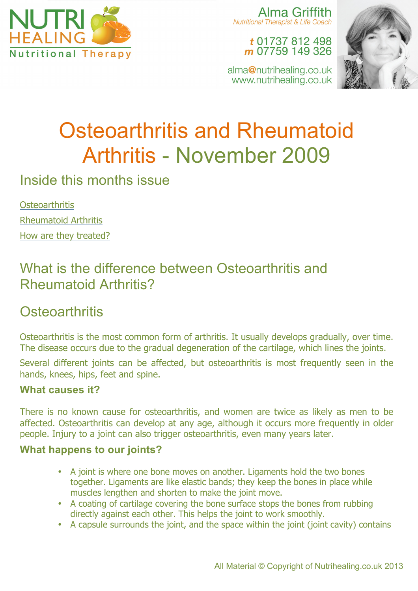

Alma Griffith Nutritional Therapist & Life Coach

> t 01737 812 498 m 07759 149 326

alma@nutrihealing.co.uk www.nutrihealing.co.uk



# Osteoarthritis and Rheumatoid Arthritis - November 2009

Inside this months issue

**Osteoarthritis** Rheumatoid Arthritis How are they treated?

# What is the difference between Osteoarthritis and Rheumatoid Arthritis?

# **Osteoarthritis**

Osteoarthritis is the most common form of arthritis. It usually develops gradually, over time. The disease occurs due to the gradual degeneration of the cartilage, which lines the joints.

Several different joints can be affected, but osteoarthritis is most frequently seen in the hands, knees, hips, feet and spine.

#### **What causes it?**

There is no known cause for osteoarthritis, and women are twice as likely as men to be affected. Osteoarthritis can develop at any age, although it occurs more frequently in older people. Injury to a joint can also trigger osteoarthritis, even many years later.

#### **What happens to our joints?**

- A joint is where one bone moves on another. Ligaments hold the two bones together. Ligaments are like elastic bands; they keep the bones in place while muscles lengthen and shorten to make the joint move.
- A coating of cartilage covering the bone surface stops the bones from rubbing directly against each other. This helps the joint to work smoothly.
- A capsule surrounds the joint, and the space within the joint (joint cavity) contains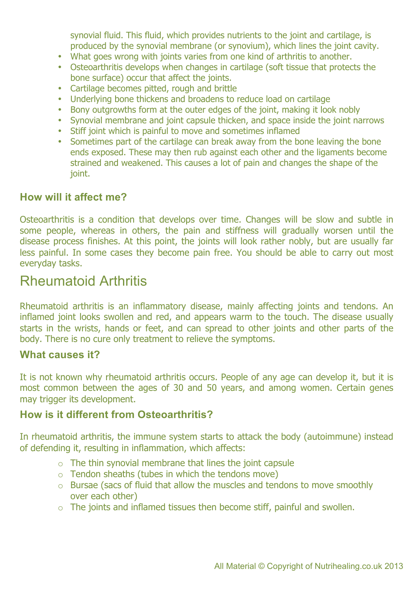synovial fluid. This fluid, which provides nutrients to the joint and cartilage, is produced by the synovial membrane (or synovium), which lines the joint cavity.

- What goes wrong with joints varies from one kind of arthritis to another.
- Osteoarthritis develops when changes in cartilage (soft tissue that protects the bone surface) occur that affect the joints.
- Cartilage becomes pitted, rough and brittle
- Underlying bone thickens and broadens to reduce load on cartilage
- Bony outgrowths form at the outer edges of the joint, making it look nobly
- Synovial membrane and joint capsule thicken, and space inside the joint narrows
- Stiff joint which is painful to move and sometimes inflamed
- Sometimes part of the cartilage can break away from the bone leaving the bone ends exposed. These may then rub against each other and the ligaments become strained and weakened. This causes a lot of pain and changes the shape of the joint.

#### **How will it affect me?**

Osteoarthritis is a condition that develops over time. Changes will be slow and subtle in some people, whereas in others, the pain and stiffness will gradually worsen until the disease process finishes. At this point, the joints will look rather nobly, but are usually far less painful. In some cases they become pain free. You should be able to carry out most everyday tasks.

### Rheumatoid Arthritis

Rheumatoid arthritis is an inflammatory disease, mainly affecting joints and tendons. An inflamed joint looks swollen and red, and appears warm to the touch. The disease usually starts in the wrists, hands or feet, and can spread to other joints and other parts of the body. There is no cure only treatment to relieve the symptoms.

#### **What causes it?**

It is not known why rheumatoid arthritis occurs. People of any age can develop it, but it is most common between the ages of 30 and 50 years, and among women. Certain genes may trigger its development.

#### **How is it different from Osteoarthritis?**

In rheumatoid arthritis, the immune system starts to attack the body (autoimmune) instead of defending it, resulting in inflammation, which affects:

- $\circ$  The thin synovial membrane that lines the joint capsule
- $\circ$  Tendon sheaths (tubes in which the tendons move)
- o Bursae (sacs of fluid that allow the muscles and tendons to move smoothly over each other)
- $\circ$  The joints and inflamed tissues then become stiff, painful and swollen.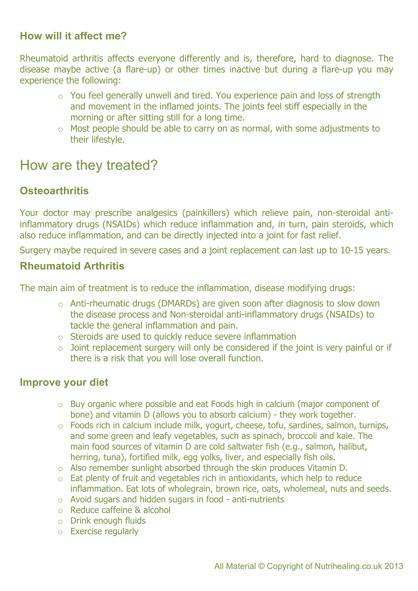#### **How will it affect me?**

Rheumatoid arthritis affects everyone differently and is, therefore, hard to diagnose. The disease maybe active (a flare-up) or other times inactive but during a flare-up you may experience the following:

- o You feel generally unwell and tired. You experience pain and loss of strength and movement in the inflamed joints. The joints feel stiff especially in the morning or after sitting still for a long time.
- o Most people should be able to carry on as normal, with some adjustments to their lifestyle.

## How are they treated?

#### **Osteoarthritis**

Your doctor may prescribe analgesics (painkillers) which relieve pain, non-steroidal antiinflammatory drugs (NSAIDs) which reduce inflammation and, in turn, pain steroids, which also reduce inflammation, and can be directly injected into a joint for fast relief.

Surgery maybe required in severe cases and a joint replacement can last up to 10-15 years.

#### **Rheumatoid Arthritis**

The main aim of treatment is to reduce the inflammation, disease modifying drugs:

- o Anti-rheumatic drugs (DMARDs) are given soon after diagnosis to slow down the disease process and Non-steroidal anti-inflammatory drugs (NSAIDs) to tackle the general inflammation and pain.
- o Steroids are used to quickly reduce severe inflammation
- $\circ$  Joint replacement surgery will only be considered if the joint is very painful or if there is a risk that you will lose overall function.

#### **Improve your diet**

- o Buy organic where possible and eat Foods high in calcium (major component of bone) and vitamin D (allows you to absorb calcium) - they work together.
- o Foods rich in calcium include milk, yogurt, cheese, tofu, sardines, salmon, turnips, and some green and leafy vegetables, such as spinach, broccoli and kale. The main food sources of vitamin D are cold saltwater fish (e.g., salmon, halibut, herring, tuna), fortified milk, egg yolks, liver, and especially fish oils.
- o Also remember sunlight absorbed through the skin produces Vitamin D.
- o Eat plenty of fruit and vegetables rich in antioxidants, which help to reduce inflammation. Eat lots of wholegrain, brown rice, oats, wholemeal, nuts and seeds.
- o Avoid sugars and hidden sugars in food anti-nutrients
- o Reduce caffeine & alcohol
- o Drink enough fluids
- o Exercise regularly